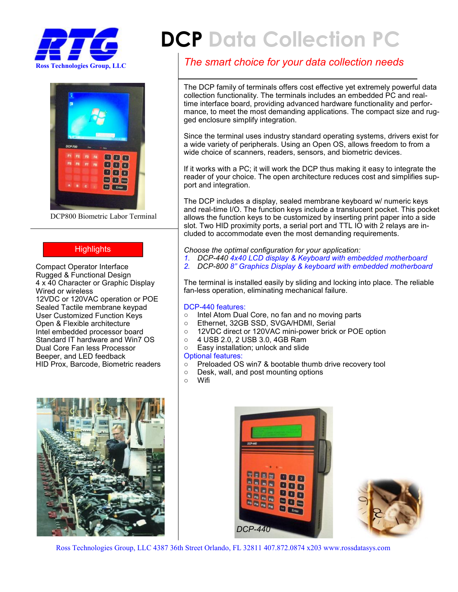



DCP800 Biometric Labor Terminal

### **Highlights**

Compact Operator Interface Rugged & Functional Design 4 x 40 Character or Graphic Display Wired or wireless 12VDC or 120VAC operation or POE Sealed Tactile membrane keypad User Customized Function Keys Open & Flexible architecture Intel embedded processor board Standard IT hardware and Win7 OS Dual Core Fan less Processor Beeper, and LED feedback HID Prox, Barcode, Biometric readers



# **DCP Data Collection PC**

## *The smart choice for your data collection needs*

The DCP family of terminals offers cost effective yet extremely powerful data collection functionality. The terminals includes an embedded PC and realtime interface board, providing advanced hardware functionality and performance, to meet the most demanding applications. The compact size and rugged enclosure simplify integration.

Since the terminal uses industry standard operating systems, drivers exist for a wide variety of peripherals. Using an Open OS, allows freedom to from a wide choice of scanners, readers, sensors, and biometric devices.

If it works with a PC; it will work the DCP thus making it easy to integrate the reader of your choice. The open architecture reduces cost and simplifies support and integration.

The DCP includes a display, sealed membrane keyboard w/ numeric keys and real-time I/O. The function keys include a translucent pocket. This pocket allows the function keys to be customized by inserting print paper into a side slot. Two HID proximity ports, a serial port and TTL IO with 2 relays are included to accommodate even the most demanding requirements.

*Choose the optimal configuration for your application:*

- *1. DCP-440 4x40 LCD display & Keyboard with embedded motherboard*
- *2. DCP-800 8" Graphics Display & keyboard with embedded motherboard*

The terminal is installed easily by sliding and locking into place. The reliable fan-less operation, eliminating mechanical failure.

#### DCP-440 features:

- Intel Atom Dual Core, no fan and no moving parts
- Ethernet, 32GB SSD, SVGA/HDMI, Serial
- 12VDC direct or 120VAC mini-power brick or POE option
- 4 USB 2.0, 2 USB 3.0, 4GB Ram
- Easy installation; unlock and slide

#### Optional features:

- Preloaded OS win7 & bootable thumb drive recovery tool
- Desk, wall, and post mounting options
- Wifi





Ross Technologies Group, LLC 4387 36th Street Orlando, FL 32811 407.872.0874 x203 www.rossdatasys.com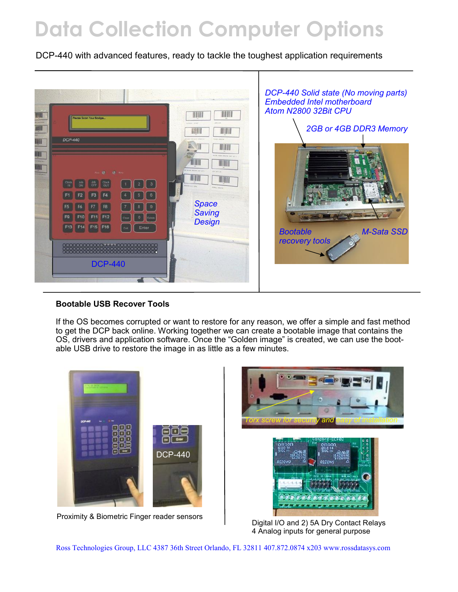## **Data Collection Computer Options**

DCP-440 with advanced features, ready to tackle the toughest application requirements



### **Bootable USB Recover Tools**

If the OS becomes corrupted or want to restore for any reason, we offer a simple and fast method to get the DCP back online. Working together we can create a bootable image that contains the OS, drivers and application software. Once the "Golden image" is created, we can use the bootable USB drive to restore the image in as little as a few minutes.



Proximity & Biometric Finger reader sensors <br>Digital I/O and 2) 5A Dry Contact Relays



4 Analog inputs for general purpose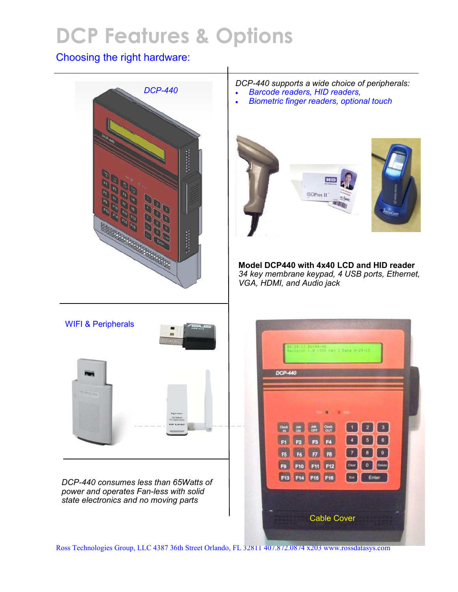# **DCP Features & Options**

## Choosing the right hardware:



*DCP-440 supports a wide choice of peripherals:*

- *Barcode readers, HID readers,*
- *Biometric finger readers, optional touch*



**Model DCP440 with 4x40 LCD and HID reader** *34 key membrane keypad, 4 USB ports, Ethernet, VGA, HDMI, and Audio jack*



*DCP-440 consumes less than 65Watts of power and operates Fan-less with solid state electronics and no moving parts*



Ross Technologies Group, LLC 4387 36th Street Orlando, FL 32811 407.872.0874 x203 www.rossdatasys.com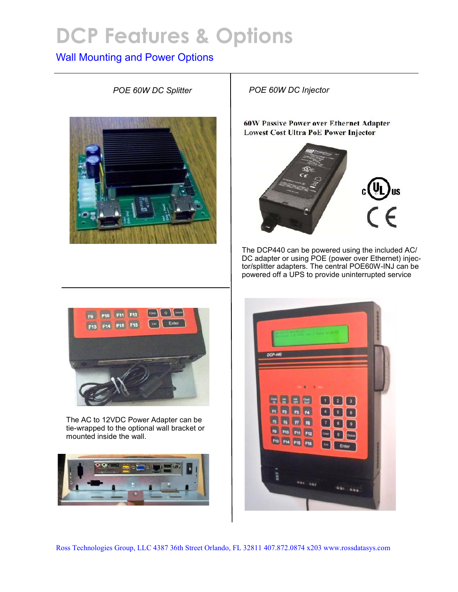## **DCP Features & Options**

## Wall Mounting and Power Options



*POE 60W DC Splitter POE 60W DC Injector*

**60W Passive Power over Ethernet Adapter Lowest Cost Ultra PoE Power Injector** 



The DCP440 can be powered using the included AC/ DC adapter or using POE (power over Ethernet) injector/splitter adapters. The central POE60W-INJ can be powered off a UPS to provide uninterrupted service



The AC to 12VDC Power Adapter can be tie-wrapped to the optional wall bracket or mounted inside the wall.